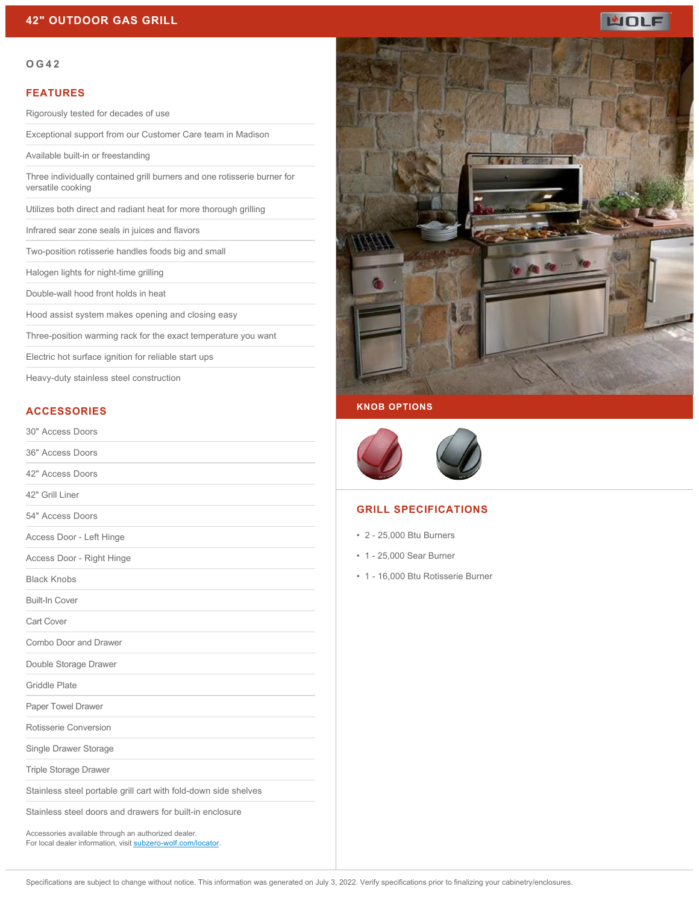

#### **OG42**

### **FEATURES**

Rigorously tested for decades of use

Exceptional support from our Customer Care team in Madison

Available built-in or freestanding

Three individually contained grill burners and one rotisserie burner for versatile cooking

Utilizes both direct and radiant heat for more thorough grilling

Infrared sear zone seals in juices and flavors

Two-position rotisserie handles foods big and small

Halogen lights for night-time grilling

Double-wall hood front holds in heat

Hood assist system makes opening and closing easy

Three-position warming rack for the exact temperature you want

Electric hot surface ignition for reliable start ups

Heavy-duty stainless steel construction

## **ACCESSORIES**

| 30" Access Doors                                                                                                     |  |
|----------------------------------------------------------------------------------------------------------------------|--|
| 36" Access Doors                                                                                                     |  |
| 42" Access Doors                                                                                                     |  |
| 42" Grill Liner                                                                                                      |  |
| 54" Access Doors                                                                                                     |  |
| Access Door - Left Hinge                                                                                             |  |
| Access Door - Right Hinge                                                                                            |  |
| <b>Black Knobs</b>                                                                                                   |  |
| <b>Built-In Cover</b>                                                                                                |  |
| <b>Cart Cover</b>                                                                                                    |  |
| Combo Door and Drawer                                                                                                |  |
| Double Storage Drawer                                                                                                |  |
| <b>Griddle Plate</b>                                                                                                 |  |
| Paper Towel Drawer                                                                                                   |  |
| Rotisserie Conversion                                                                                                |  |
| Single Drawer Storage                                                                                                |  |
| Triple Storage Drawer                                                                                                |  |
| Stainless steel portable grill cart with fold-down side shelves                                                      |  |
| Stainless steel doors and drawers for built-in enclosure                                                             |  |
| Accessories available through an authorized dealer.<br>For local dealer information, visit subzero-wolf.com/locator. |  |



#### **KNOB OPTIONS**



## **GRILL SPECIFICATIONS**

- 2 25,000 Btu Burners
- 1 25,000 Sear Burner
- 1 16,000 Btu Rotisserie Burner